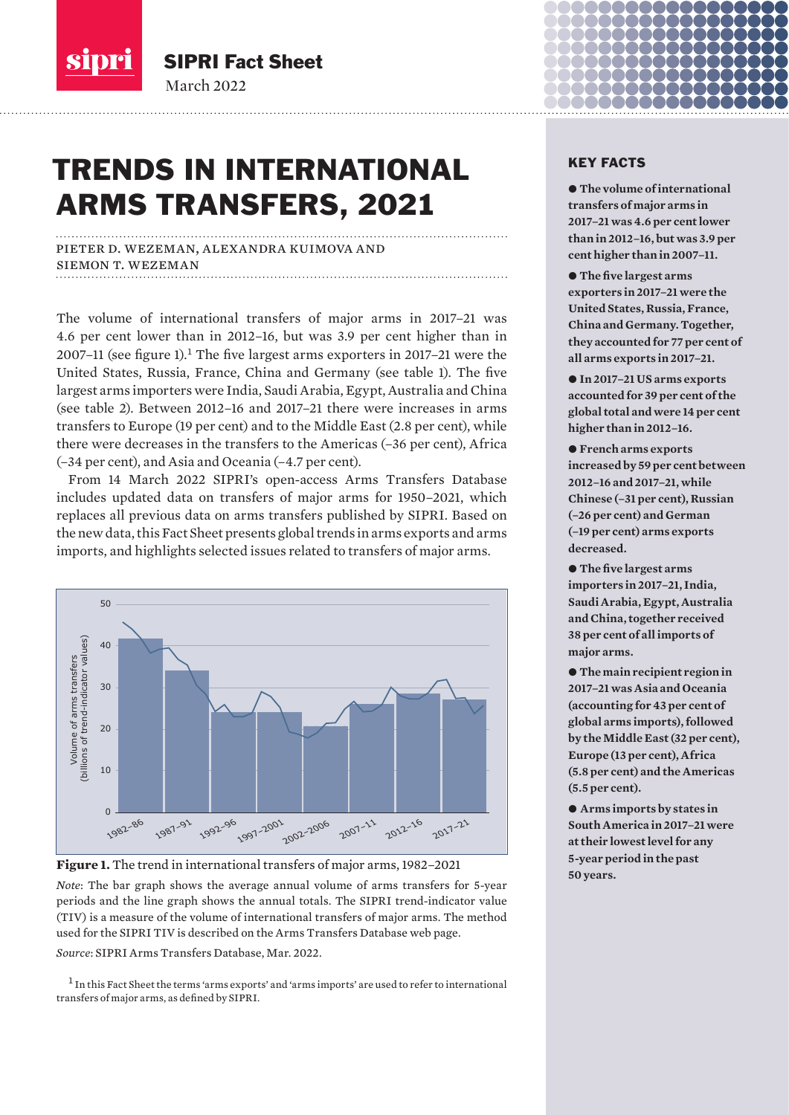

March 2022 SIPRI Fact Sheet

# TRENDS IN INTERNATIONAL ARMS TRANSFERS, 2021

pieter d. wezeman, alexandra kuimova and siemon t. wezeman

The volume of international transfers of major arms in 2017–21 was 4.6 per cent lower than in 2012–16, but was 3.9 per cent higher than in 2007–11 (see figure 1).<sup>1</sup> The five largest arms exporters in 2017–21 were the United States, Russia, France, China and Germany (see table 1). The five largest arms importers were India, Saudi Arabia, Egypt, Australia and China (see table 2). Between 2012–16 and 2017–21 there were increases in arms transfers to Europe (19 per cent) and to the Middle East (2.8 per cent), while there were decreases in the transfers to the Americas (–36 per cent), Africa (–34 per cent), and Asia and Oceania (–4.7 per cent).

From 14 March 2022 SIPRI's open-access Arms Transfers Database includes updated data on transfers of major arms for 1950–2021, which replaces all previous data on arms transfers published by SIPRI. Based on the new data, this Fact Sheet presents global trends in arms exports and arms imports, and highlights selected issues related to transfers of major arms.



**Figure 1.** The trend in international transfers of major arms, 1982–2021

*Note*: The bar graph shows the average annual volume of arms transfers for 5-year periods and the line graph shows the annual totals. The SIPRI trend-indicator value (TIV) is a measure of the volume of international transfers of major arms. The method used for the SIPRI TIV is described on the [Arms Transfers Database web page.](https://www.sipri.org/databases/armstransfers)

*Source*: [SIPRI Arms Transfers Database, Mar. 20](https://www.sipri.org/databases/armstransfers)22.

 $1$  In this Fact Sheet the terms 'arms exports' and 'arms imports' are used to refer to international

# KEY FACTS

 $\bullet$  **The volume of international transfers of major arms in 2017–21 was 4.6 per cent lower than in 2012–16, but was 3.9 per cent higher than in 2007–11.**

 $\bullet$  The five largest arms **exporters in 2017–21 were the United States, Russia, France, China and Germany. Together, they accounted for 77 per cent of all arms exports in 2017–21.**

● In 2017–21 US arms exports **accounted for 39 per cent of the global total and were 14 per cent higher than in 2012–16.** 

● French arms exports **increased by 59 per cent between 2012–16 and 2017–21, while Chinese (–31 per cent), Russian (–26 per cent) and German (–19 per cent) arms exports decreased.**

 $\bullet$  The five largest arms **importers in 2017–21, India, Saudi Arabia, Egypt, Australia and China, together received 38 per cent of all imports of major arms.**

 $\bullet$  The main recipient region in **2017–21 was Asia and Oceania (accounting for 43 per cent of global arms imports), followed by the Middle East (32 per cent), Europe (13 per cent), Africa (5.8 per cent) and the Americas (5.5 per cent).**

● Arms imports by states in **South America in 2017–21 were at their lowest level for any 5-year period in the past 50 years.**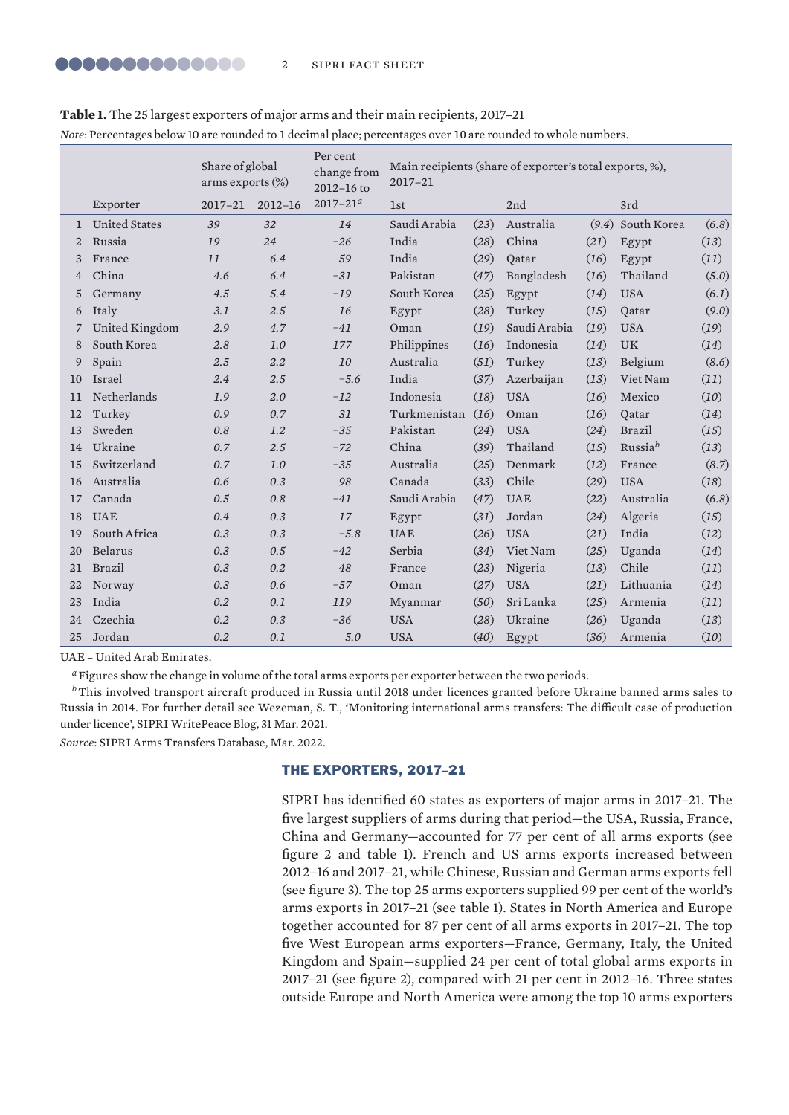|    | Share of global<br>arms exports (%) |             |             | Per cent<br>change from<br>2012-16 to | Main recipients (share of exporter's total exports, %),<br>2017-21 |      |              |      |                     |       |  |
|----|-------------------------------------|-------------|-------------|---------------------------------------|--------------------------------------------------------------------|------|--------------|------|---------------------|-------|--|
|    | Exporter                            | $2017 - 21$ | $2012 - 16$ | $2017 - 21^a$                         | <b>1st</b>                                                         |      | 2nd          |      | 3rd                 |       |  |
| 1  | <b>United States</b>                | 39          | 32          | 14                                    | Saudi Arabia                                                       | (23) | Australia    |      | $(9.4)$ South Korea | (6.8) |  |
| 2  | Russia                              | 19          | 24          | $-26$                                 | India                                                              | (28) | China        | (21) | Egypt               | (13)  |  |
| 3  | France                              | 11          | 6.4         | 59                                    | India                                                              | (29) | Oatar        | (16) | Egypt               | (11)  |  |
| 4  | China                               | 4.6         | 6.4         | $-31$                                 | Pakistan                                                           | (47) | Bangladesh   | (16) | Thailand            | (5.0) |  |
| 5  | Germany                             | 4.5         | 5.4         | $-19$                                 | South Korea                                                        | (25) | Egypt        | (14) | <b>USA</b>          | (6.1) |  |
| 6  | Italy                               | 3.1         | 2.5         | 16                                    | Egypt                                                              | (28) | Turkey       | (15) | Oatar               | (9.0) |  |
| 7  | United Kingdom                      | 2.9         | 4.7         | $-41$                                 | Oman                                                               | (19) | Saudi Arabia | (19) | <b>USA</b>          | (19)  |  |
| 8  | South Korea                         | 2.8         | 1.0         | 177                                   | Philippines                                                        | (16) | Indonesia    | (14) | <b>UK</b>           | (14)  |  |
| 9  | Spain                               | 2.5         | 2.2         | 10                                    | Australia                                                          | (51) | Turkey       | (13) | Belgium             | (8.6) |  |
| 10 | <b>Israel</b>                       | 2.4         | 2.5         | $-5.6$                                | India                                                              | (37) | Azerbaijan   | (13) | Viet Nam            | (11)  |  |
| 11 | Netherlands                         | 1.9         | 2.0         | $-12$                                 | Indonesia                                                          | (18) | <b>USA</b>   | (16) | Mexico              | (10)  |  |
| 12 | Turkey                              | 0.9         | 0.7         | 31                                    | Turkmenistan                                                       | (16) | Oman         | (16) | Oatar               | (14)  |  |
| 13 | Sweden                              | 0.8         | 1.2         | $-35$                                 | Pakistan                                                           | (24) | <b>USA</b>   | (24) | <b>Brazil</b>       | (15)  |  |
| 14 | Ukraine                             | 0.7         | 2.5         | $-72$                                 | China                                                              | (39) | Thailand     | (15) | Russia <sup>b</sup> | (13)  |  |
| 15 | Switzerland                         | 0.7         | 1.0         | $-35$                                 | Australia                                                          | (25) | Denmark      | (12) | France              | (8.7) |  |
| 16 | Australia                           | 0.6         | 0.3         | 98                                    | Canada                                                             | (33) | Chile        | (29) | <b>USA</b>          | (18)  |  |
| 17 | Canada                              | 0.5         | 0.8         | $-41$                                 | Saudi Arabia                                                       | (47) | <b>UAE</b>   | (22) | Australia           | (6.8) |  |
| 18 | <b>UAE</b>                          | 0.4         | 0.3         | 17                                    | Egypt                                                              | (31) | Jordan       | (24) | Algeria             | (15)  |  |
| 19 | South Africa                        | 0.3         | 0.3         | $-5.8$                                | <b>UAE</b>                                                         | (26) | <b>USA</b>   | (21) | India               | (12)  |  |
| 20 | Belarus                             | 0.3         | 0.5         | $-42$                                 | Serbia                                                             | (34) | Viet Nam     | (25) | Uganda              | (14)  |  |
| 21 | Brazil                              | 0.3         | 0.2         | 48                                    | France                                                             | (23) | Nigeria      | (13) | Chile               | (11)  |  |
| 22 | Norway                              | 0.3         | 0.6         | $-57$                                 | Oman                                                               | (27) | <b>USA</b>   | (21) | Lithuania           | (14)  |  |
| 23 | India                               | 0.2         | 0.1         | 119                                   | Myanmar                                                            | (50) | Sri Lanka    | (25) | Armenia             | (11)  |  |
| 24 | Czechia                             | 0.2         | 0.3         | $-36$                                 | <b>USA</b>                                                         | (28) | Ukraine      | (26) | Uganda              | (13)  |  |
| 25 | Jordan                              | 0.2         | 0.1         | 5.0                                   | <b>USA</b>                                                         | (40) | Egypt        | (36) | Armenia             | (10)  |  |

**Table 1.** The 25 largest exporters of major arms and their main recipients, 2017–21

*Note*: Percentages below 10 are rounded to 1 decimal place; percentages over 10 are rounded to whole numbers.

UAE = United Arab Emirates.

*<sup>a</sup>*Figures show the change in volume of the total arms exports per exporter between the two periods.

*b* This involved transport aircraft produced in Russia until 2018 under licences granted before Ukraine banned arms sales to Russia in 2014. For further detail see Wezeman, S. T., '[Monitoring international arms transfers: The difficult case of production](https://www.sipri.org/commentary/blog/2021/monitoring-international-arms-transfers-difficult-case-production-under-licence)  [under licence'](https://www.sipri.org/commentary/blog/2021/monitoring-international-arms-transfers-difficult-case-production-under-licence), SIPRI WritePeace Blog, 31 Mar. 2021.

*Source*: [SIPRI Arms Transfers Database, Mar. 20](https://www.sipri.org/databases/armstransfers)22.

# THE EXPORTERS, 2017–21

SIPRI has identified 60 states as exporters of major arms in 2017–21. The five largest suppliers of arms during that period—the USA, Russia, France, China and Germany—accounted for 77 per cent of all arms exports (see figure 2 and table 1). French and US arms exports increased between 2012–16 and 2017–21, while Chinese, Russian and German arms exports fell (see figure 3). The top 25 arms exporters supplied 99 per cent of the world's arms exports in 2017–21 (see table 1). States in North America and Europe together accounted for 87 per cent of all arms exports in 2017–21. The top five West European arms exporters—France, Germany, Italy, the United Kingdom and Spain—supplied 24 per cent of total global arms exports in 2017–21 (see figure 2), compared with 21 per cent in 2012–16. Three states outside Europe and North America were among the top 10 arms exporters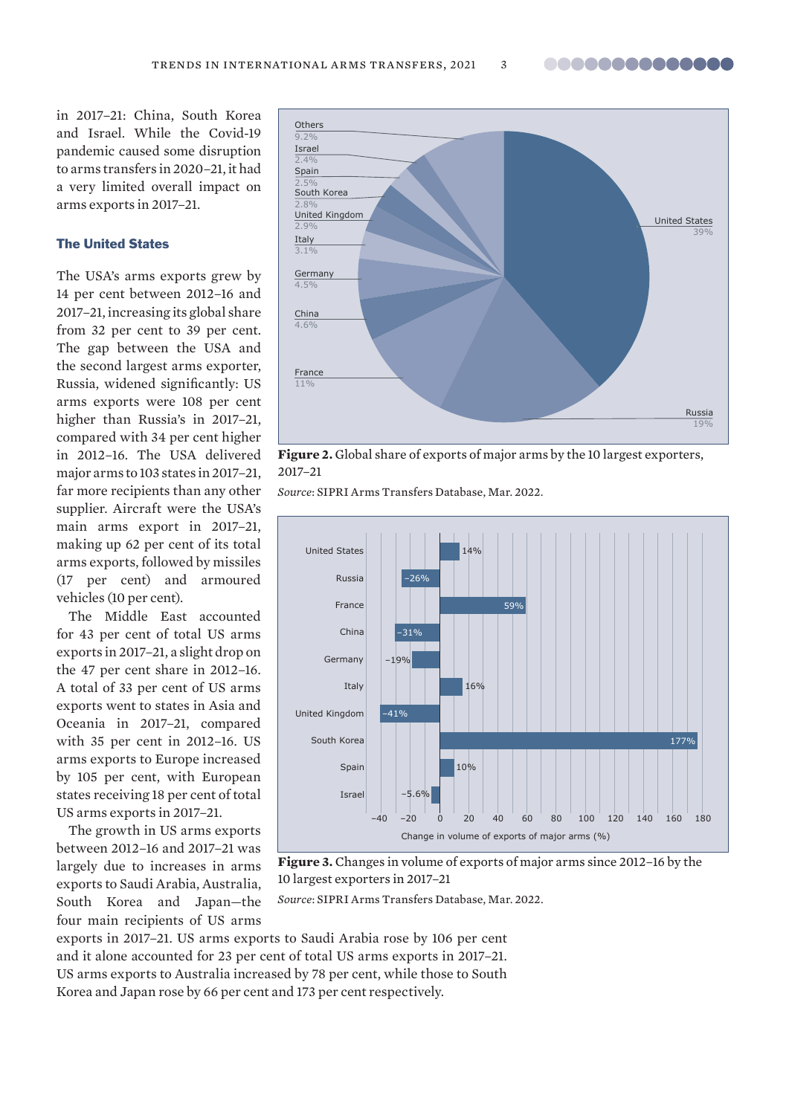..............

in 2017–21: China, South Korea and Israel. While the Covid-19 pandemic caused some disruption to arms transfers in 2020–21, it had a very limited overall impact on arms exports in 2017–21.

# The United States

The USA's arms exports grew by 14 per cent between 2012–16 and 2017–21, increasing its global share from 32 per cent to 39 per cent. The gap between the USA and the second largest arms exporter, Russia, widened significantly: US arms exports were 108 per cent higher than Russia's in 2017–21, compared with 34 per cent higher in 2012–16. The USA delivered major arms to 103 states in 2017–21, far more recipients than any other supplier. Aircraft were the USA's main arms export in 2017–21, making up 62 per cent of its total arms exports, followed by missiles (17 per cent) and armoured vehicles (10 per cent).

The Middle East accounted for 43 per cent of total US arms exports in 2017–21, a slight drop on the 47 per cent share in 2012–16. A total of 33 per cent of US arms exports went to states in Asia and Oceania in 2017–21, compared with 35 per cent in 2012–16. US arms exports to Europe increased by 105 per cent, with European states receiving 18 per cent of total US arms exports in 2017–21.

The growth in US arms exports between 2012–16 and 2017–21 was largely due to increases in arms exports to Saudi Arabia, Australia, South Korea and Japan—the four main recipients of US arms



**Figure 2.** Global share of exports of major arms by the 10 largest exporters, 2017–21

*Source*: [SIPRI Arms Transfers Database, Mar. 20](https://www.sipri.org/databases/armstransfers)22.



**Figure 3.** Changes in volume of exports of major arms since 2012–16 by the 10 largest exporters in 2017–21

*Source*: [SIPRI Arms Transfers Database, Mar. 20](https://www.sipri.org/databases/armstransfers)22.

exports in 2017–21. US arms exports to Saudi Arabia rose by 106 per cent and it alone accounted for 23 per cent of total US arms exports in 2017–21. US arms exports to Australia increased by 78 per cent, while those to South Korea and Japan rose by 66 per cent and 173 per cent respectively.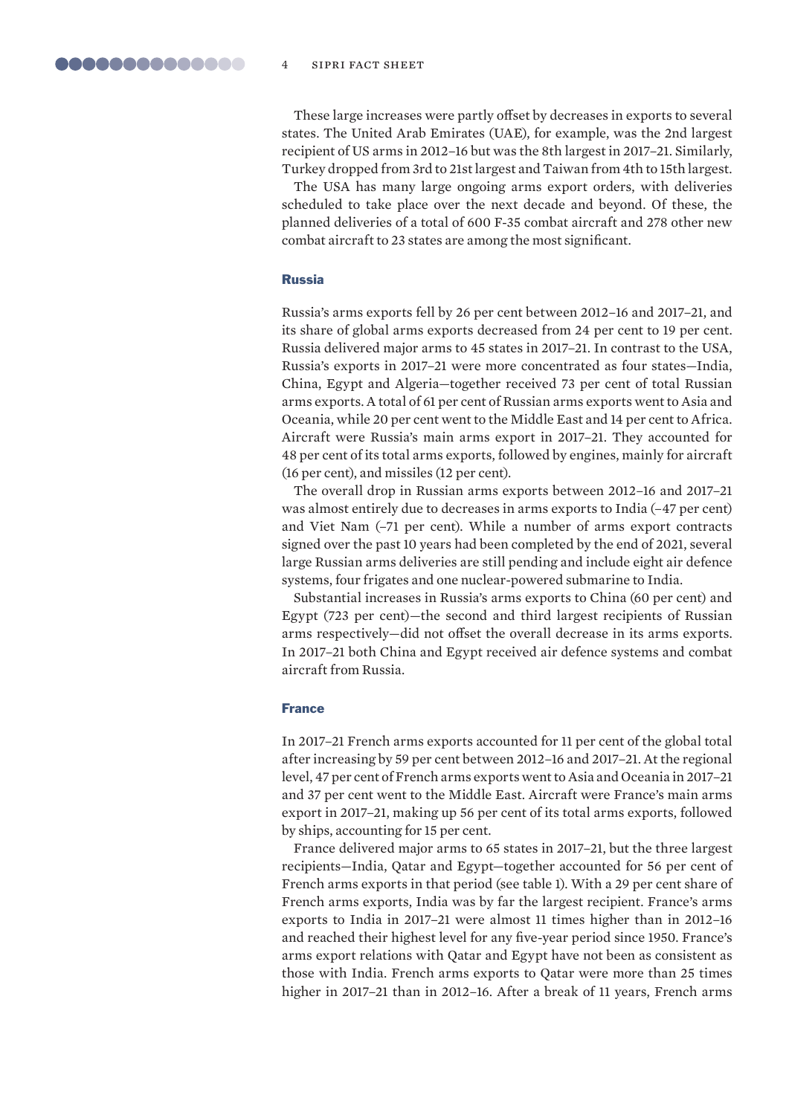These large increases were partly offset by decreases in exports to several states. The United Arab Emirates (UAE), for example, was the 2nd largest recipient of US arms in 2012–16 but was the 8th largest in 2017–21. Similarly, Turkey dropped from 3rd to 21st largest and Taiwan from 4th to 15th largest.

The USA has many large ongoing arms export orders, with deliveries scheduled to take place over the next decade and beyond. Of these, the planned deliveries of a total of 600 F-35 combat aircraft and 278 other new combat aircraft to 23 states are among the most significant.

#### Russia

Russia's arms exports fell by 26 per cent between 2012–16 and 2017–21, and its share of global arms exports decreased from 24 per cent to 19 per cent. Russia delivered major arms to 45 states in 2017–21. In contrast to the USA, Russia's exports in 2017–21 were more concentrated as four states—India, China, Egypt and Algeria—together received 73 per cent of total Russian arms exports. A total of 61 per cent of Russian arms exports went to Asia and Oceania, while 20 per cent went to the Middle East and 14 per cent to Africa. Aircraft were Russia's main arms export in 2017–21. They accounted for 48 per cent of its total arms exports, followed by engines, mainly for aircraft (16 per cent), and missiles (12 per cent).

The overall drop in Russian arms exports between 2012–16 and 2017–21 was almost entirely due to decreases in arms exports to India (–47 per cent) and Viet Nam (–71 per cent). While a number of arms export contracts signed over the past 10 years had been completed by the end of 2021, several large Russian arms deliveries are still pending and include eight air defence systems, four frigates and one nuclear-powered submarine to India.

Substantial increases in Russia's arms exports to China (60 per cent) and Egypt (723 per cent)—the second and third largest recipients of Russian arms respectively—did not offset the overall decrease in its arms exports. In 2017–21 both China and Egypt received air defence systems and combat aircraft from Russia.

#### France

In 2017–21 French arms exports accounted for 11 per cent of the global total after increasing by 59 per cent between 2012–16 and 2017–21. At the regional level, 47 per cent of French arms exports went to Asia and Oceania in 2017–21 and 37 per cent went to the Middle East. Aircraft were France's main arms export in 2017–21, making up 56 per cent of its total arms exports, followed by ships, accounting for 15 per cent.

France delivered major arms to 65 states in 2017–21, but the three largest recipients—India, Qatar and Egypt—together accounted for 56 per cent of French arms exports in that period (see table 1). With a 29 per cent share of French arms exports, India was by far the largest recipient. France's arms exports to India in 2017–21 were almost 11 times higher than in 2012–16 and reached their highest level for any five-year period since 1950. France's arms export relations with Qatar and Egypt have not been as consistent as those with India. French arms exports to Qatar were more than 25 times higher in 2017–21 than in 2012–16. After a break of 11 years, French arms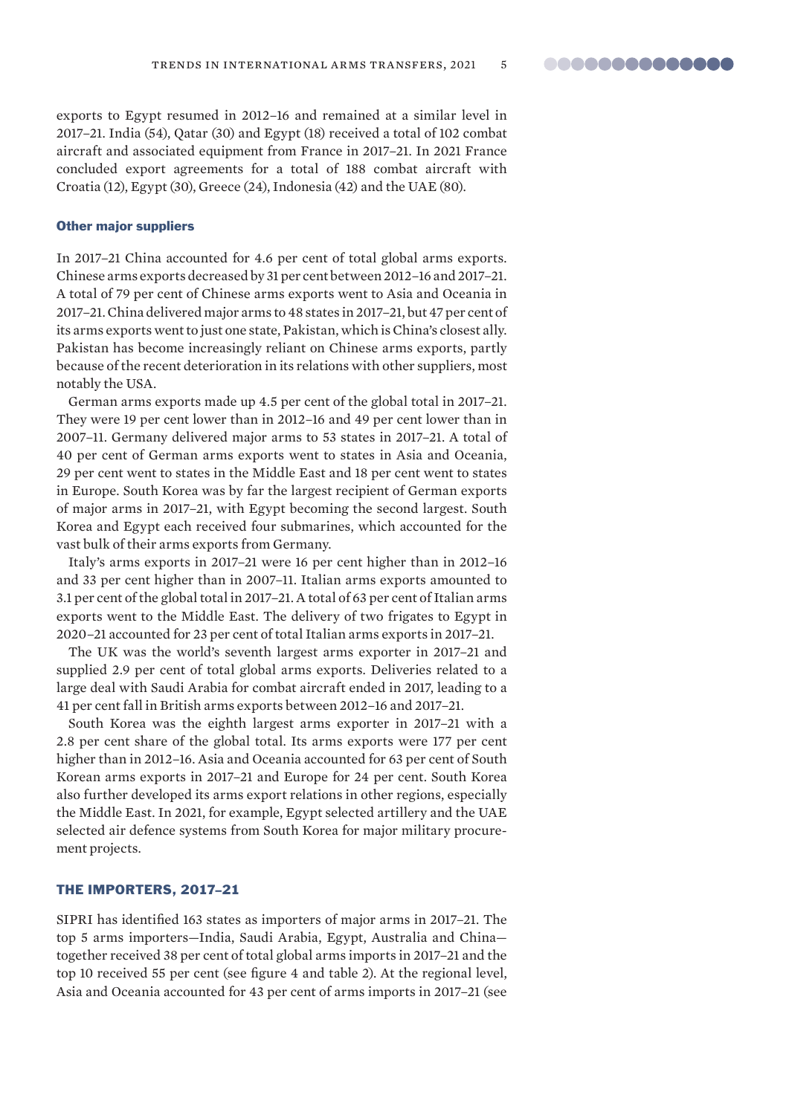exports to Egypt resumed in 2012–16 and remained at a similar level in 2017–21. India (54), Qatar (30) and Egypt (18) received a total of 102 combat aircraft and associated equipment from France in 2017–21. In 2021 France concluded export agreements for a total of 188 combat aircraft with Croatia (12), Egypt (30), Greece (24), Indonesia (42) and the UAE (80).

#### Other major suppliers

In 2017–21 China accounted for 4.6 per cent of total global arms exports. Chinese arms exports decreased by 31 per cent between 2012–16 and 2017–21. A total of 79 per cent of Chinese arms exports went to Asia and Oceania in 2017–21. China delivered major arms to 48 states in 2017–21, but 47 per cent of its arms exports went to just one state, Pakistan, which is China's closest ally. Pakistan has become increasingly reliant on Chinese arms exports, partly because of the recent deterioration in its relations with other suppliers, most notably the USA.

German arms exports made up 4.5 per cent of the global total in 2017–21. They were 19 per cent lower than in 2012–16 and 49 per cent lower than in 2007–11. Germany delivered major arms to 53 states in 2017–21. A total of 40 per cent of German arms exports went to states in Asia and Oceania, 29 per cent went to states in the Middle East and 18 per cent went to states in Europe. South Korea was by far the largest recipient of German exports of major arms in 2017–21, with Egypt becoming the second largest. South Korea and Egypt each received four submarines, which accounted for the vast bulk of their arms exports from Germany.

Italy's arms exports in 2017–21 were 16 per cent higher than in 2012–16 and 33 per cent higher than in 2007–11. Italian arms exports amounted to 3.1 per cent of the global total in 2017–21. A total of 63 per cent of Italian arms exports went to the Middle East. The delivery of two frigates to Egypt in 2020–21 accounted for 23 per cent of total Italian arms exports in 2017–21.

The UK was the world's seventh largest arms exporter in 2017–21 and supplied 2.9 per cent of total global arms exports. Deliveries related to a large deal with Saudi Arabia for combat aircraft ended in 2017, leading to a 41 per cent fall in British arms exports between 2012–16 and 2017–21.

South Korea was the eighth largest arms exporter in 2017–21 with a 2.8 per cent share of the global total. Its arms exports were 177 per cent higher than in 2012–16. Asia and Oceania accounted for 63 per cent of South Korean arms exports in 2017–21 and Europe for 24 per cent. South Korea also further developed its arms export relations in other regions, especially the Middle East. In 2021, for example, Egypt selected artillery and the UAE selected air defence systems from South Korea for major military procurement projects.

# THE IMPORTERS, 2017–21

SIPRI has identified 163 states as importers of major arms in 2017–21. The top 5 arms importers—India, Saudi Arabia, Egypt, Australia and China together received 38 per cent of total global arms imports in 2017–21 and the top 10 received 55 per cent (see figure 4 and table 2). At the regional level, Asia and Oceania accounted for 43 per cent of arms imports in 2017–21 (see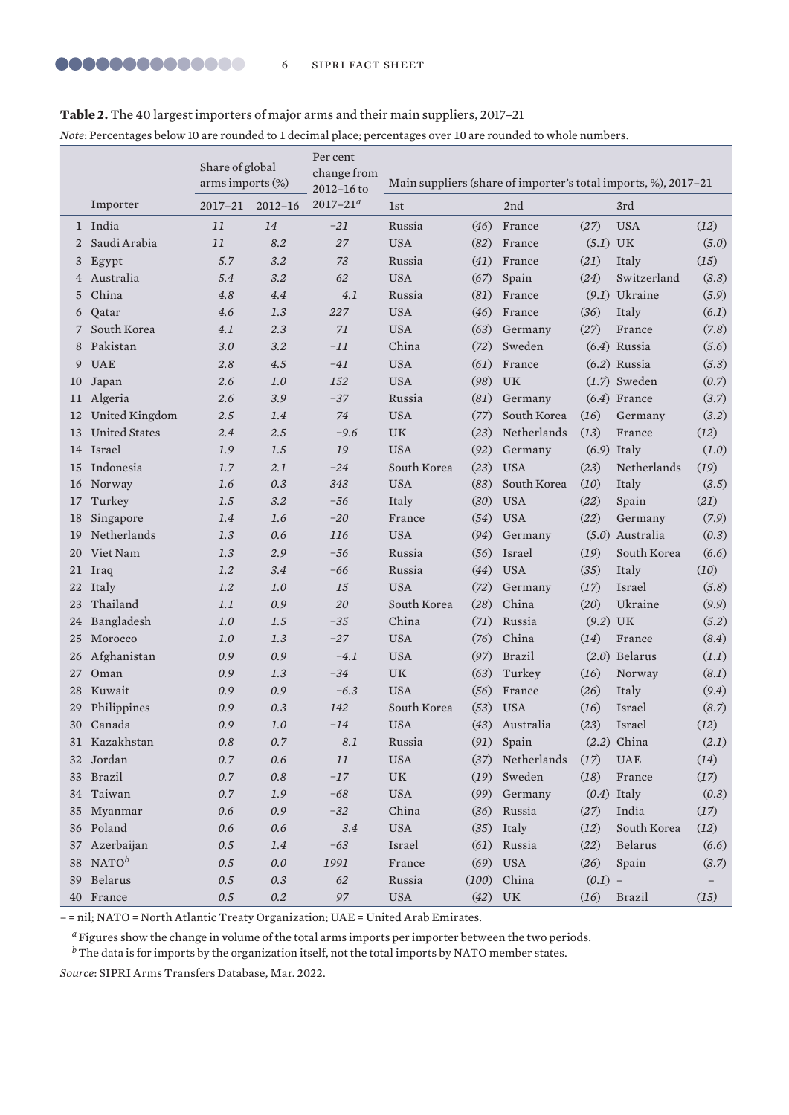# **Table 2.** The 40 largest importers of major arms and their main suppliers, 2017–21

*Note*: Percentages below 10 are rounded to 1 decimal place; percentages over 10 are rounded to whole numbers.

|    |                      | Share of global<br>arms imports (%) |             | Per cent<br>change from<br>2012-16 to | Main suppliers (share of importer's total imports, %), 2017-21 |       |                   |            |                             |       |
|----|----------------------|-------------------------------------|-------------|---------------------------------------|----------------------------------------------------------------|-------|-------------------|------------|-----------------------------|-------|
|    | Importer             | 2017–21                             | $2012 - 16$ | $2017 - 21^{a}$                       | 1 <sub>st</sub>                                                |       | 2nd               |            | 3rd                         |       |
|    | 1 India              | 11                                  | 14          | $-21$                                 | Russia                                                         | (46)  | France            | (27)       | <b>USA</b>                  | (12)  |
| 2  | Saudi Arabia         | 11                                  | 8.2         | 27                                    | <b>USA</b>                                                     | (82)  | France            | $(5.1)$ UK |                             | (5.0) |
| 3  | Egypt                | 5.7                                 | 3.2         | 73                                    | Russia                                                         | (41)  | France            | (21)       | Italy                       | (15)  |
| 4  | Australia            | 5.4                                 | 3.2         | 62                                    | <b>USA</b>                                                     | (67)  | Spain             | (24)       | Switzerland                 | (3.3) |
| 5  | China                | 4.8                                 | 4.4         | 4.1                                   | Russia                                                         | (81)  | France            |            | $(9.1)$ Ukraine             | (5.9) |
| 6  | Qatar                | 4.6                                 | 1.3         | 227                                   | <b>USA</b>                                                     | (46)  | France            | (36)       | Italy                       | (6.1) |
|    | South Korea          | 4.1                                 | 2.3         | 71                                    | <b>USA</b>                                                     | (63)  | Germany           | (27)       | France                      | (7.8) |
| 8  | Pakistan             | 3.0                                 | 3.2         | $-11$                                 | China                                                          | (72)  | Sweden            |            | $(6.4)$ Russia              | (5.6) |
| 9  | <b>UAE</b>           | 2.8                                 | 4.5         | $-41$                                 | <b>USA</b>                                                     | (61)  | France            |            | $(6.2)$ Russia              | (5.3) |
| 10 | Japan                | 2.6                                 | 1.0         | 152                                   | <b>USA</b>                                                     | (98)  | UK                |            | $(1.7)$ Sweden              | (0.7) |
| 11 | Algeria              | 2.6                                 | 3.9         | $-37$                                 | Russia                                                         | (81)  | Germany           |            | $(6.4)$ France              | (3.7) |
| 12 | United Kingdom       | 2.5                                 | 1.4         | 74                                    | <b>USA</b>                                                     | (77)  | South Korea       | (16)       | Germany                     | (3.2) |
| 13 | <b>United States</b> | 2.4                                 | 2.5         | $-9.6$                                | <b>UK</b>                                                      | (23)  | Netherlands       | (13)       | France                      | (12)  |
|    | 14 Israel            | 1.9                                 | 1.5         | 19                                    | <b>USA</b>                                                     | (92)  | Germany           |            | $(6.9)$ Italy               | (1.0) |
| 15 | Indonesia            | 1.7                                 | 2.1         | $-24$                                 | South Korea                                                    | (23)  | <b>USA</b>        | (23)       | Netherlands                 | (19)  |
| 16 | Norway               | 1.6                                 | 0.3         | 343                                   | <b>USA</b>                                                     | (83)  | South Korea       | (10)       | Italy                       | (3.5) |
| 17 | Turkey               | 1.5                                 | 3.2         | $-56$                                 | Italy                                                          | (30)  | <b>USA</b>        | (22)       | Spain                       | (21)  |
| 18 | Singapore            | 1.4                                 | 1.6         | $-20$                                 | France                                                         | (54)  | <b>USA</b>        | (22)       | Germany                     | (7.9) |
| 19 | Netherlands          | 1.3                                 | 0.6         | 116                                   | <b>USA</b>                                                     | (94)  | Germany           |            | (5.0) Australia             | (0.3) |
| 20 | Viet Nam             | 1.3                                 | 2.9         | $-56$                                 | Russia                                                         | (56)  | Israel            | (19)       | South Korea                 | (6.6) |
| 21 | Iraq                 | 1.2                                 | 3.4         | $-66$                                 | Russia                                                         | (44)  | <b>USA</b>        | (35)       | Italy                       | (10)  |
| 22 | Italy                | 1.2                                 | 1.0         | 15                                    | <b>USA</b>                                                     | (72)  | Germany           | (17)       | Israel                      | (5.8) |
| 23 | Thailand             | 1.1                                 | 0.9         | 20                                    | South Korea                                                    | (28)  | China             | (20)       | Ukraine                     | (9.9) |
| 24 | Bangladesh           | $1.0$                               | 1.5         | $-35$                                 | China                                                          | (71)  | Russia            | $(9.2)$ UK |                             | (5.2) |
| 25 | Morocco              | 1.0                                 | 1.3         | $-27$                                 | <b>USA</b>                                                     | (76)  | China             | (14)       | France                      | (8.4) |
| 26 | Afghanistan          | 0.9                                 | 0.9         | $-4.1$                                | <b>USA</b>                                                     | (97)  | <b>Brazil</b>     |            | $(2.0)$ Belarus             | (1.1) |
| 27 | Oman                 | 0.9                                 | 1.3         | $-34$                                 | <b>UK</b>                                                      | (63)  | Turkey            | (16)       | Norway                      | (8.1) |
| 28 | Kuwait               | 0.9                                 | 0.9         | $-6.3$                                | <b>USA</b>                                                     | (56)  | France            | (26)       | Italy                       | (9.4) |
| 29 | Philippines          | 0.9                                 | 0.3         | 142                                   | South Korea                                                    | (53)  | <b>USA</b>        | (16)       | Israel                      | (8.7) |
| 30 | Canada               | 0.9                                 | 1.0         | $-14$                                 | <b>USA</b>                                                     | (43)  | Australia         | (23)       | Israel                      | (12)  |
|    | 31 Kazakhstan        | $0.8\,$                             | 0.7         | 8.1                                   | Russia                                                         |       | $(91)$ Spain      |            | $(2.2)$ China               | (2.1) |
| 32 | Jordan               | $0.7\,$                             | 0.6         | 11                                    | <b>USA</b>                                                     | (37)  | Netherlands       | (17)       | $\ensuremath{\mathsf{UAE}}$ | (14)  |
| 33 | Brazil               | $0.7\,$                             | 0.8         | $-17$                                 | UK                                                             | (19)  | Sweden            | (18)       | France                      | (17)  |
| 34 | Taiwan               | $0.7\,$                             | 1.9         | $-68$                                 | <b>USA</b>                                                     | (99)  | Germany           |            | $(0.4)$ Italy               | (0.3) |
| 35 | Myanmar              | 0.6                                 | 0.9         | $-32$                                 | China                                                          | (36)  | Russia            | (27)       | India                       | (17)  |
| 36 | Poland               | 0.6                                 | $0.6\,$     | 3.4                                   | <b>USA</b>                                                     | (35)  | Italy             | (12)       | South Korea                 | (12)  |
| 37 | Azerbaijan           | $0.5\,$                             | $1.4\,$     | $-63$                                 | Israel                                                         | (61)  | Russia            | (22)       | Belarus                     | (6.6) |
| 38 | NATO <sup>b</sup>    | $0.5\,$                             | $0.0\,$     | 1991                                  | France                                                         | (69)  | $_{\mathrm{USA}}$ | (26)       | Spain                       | (3.7) |
| 39 | Belarus              | $0.5\,$                             | $0.3\,$     | 62                                    | Russia                                                         | (100) | China             | $(0.1) -$  |                             |       |
|    | 40 France            | $0.5\,$                             | $0.2\,$     | 97                                    | <b>USA</b>                                                     | (42)  | $\rm UK$          | (16)       | <b>Brazil</b>               | (15)  |

– = nil; NATO = North Atlantic Treaty Organization; UAE = United Arab Emirates.

*<sup>a</sup>*Figures show the change in volume of the total arms imports per importer between the two periods.

*b* The data is for imports by the organization itself, not the total imports by NATO member states.

*Source*: [SIPRI Arms Transfers Database, Mar. 20](https://www.sipri.org/databases/armstransfers)22.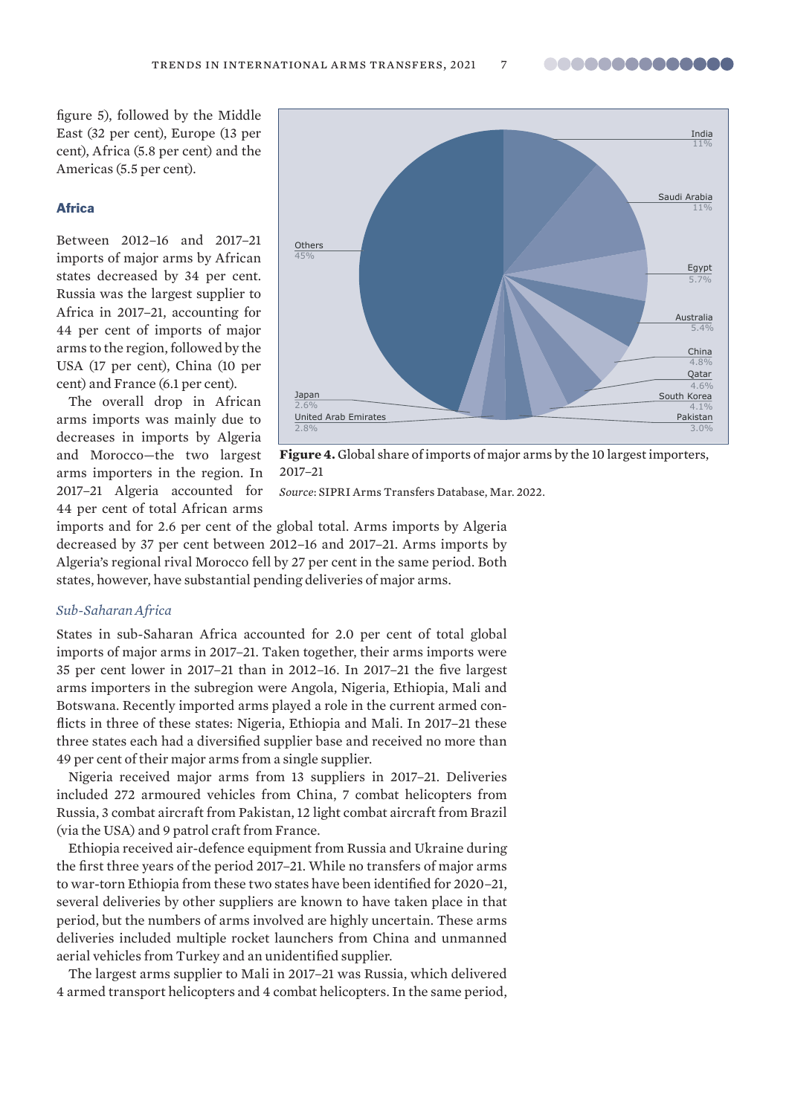**00000000000000** 

figure 5), followed by the Middle East (32 per cent), Europe (13 per cent), Africa (5.8 per cent) and the Americas (5.5 per cent).

#### **Africa**

Between 2012–16 and 2017–21 imports of major arms by African states decreased by 34 per cent. Russia was the largest supplier to Africa in 2017–21, accounting for 44 per cent of imports of major arms to the region, followed by the USA (17 per cent), China (10 per cent) and France (6.1 per cent).

The overall drop in African arms imports was mainly due to decreases in imports by Algeria and Morocco—the two largest arms importers in the region. In 2017–21 Algeria accounted for 44 per cent of total African arms



**Figure 4.** Global share of imports of major arms by the 10 largest importers, 2017–21

*Source*: [SIPRI Arms Transfers Database, Mar. 202](https://www.sipri.org/databases/armstransfers)2.

imports and for 2.6 per cent of the global total. Arms imports by Algeria decreased by 37 per cent between 2012–16 and 2017–21. Arms imports by Algeria's regional rival Morocco fell by 27 per cent in the same period. Both states, however, have substantial pending deliveries of major arms.

# *Sub-Saharan Africa*

States in sub-Saharan Africa accounted for 2.0 per cent of total global imports of major arms in 2017–21. Taken together, their arms imports were 35 per cent lower in 2017–21 than in 2012–16. In 2017–21 the five largest arms importers in the subregion were Angola, Nigeria, Ethiopia, Mali and Botswana. Recently imported arms played a role in the current armed conflicts in three of these states: Nigeria, Ethiopia and Mali. In 2017–21 these three states each had a diversified supplier base and received no more than 49 per cent of their major arms from a single supplier.

Nigeria received major arms from 13 suppliers in 2017–21. Deliveries included 272 armoured vehicles from China, 7 combat helicopters from Russia, 3 combat aircraft from Pakistan, 12 light combat aircraft from Brazil (via the USA) and 9 patrol craft from France.

Ethiopia received air-defence equipment from Russia and Ukraine during the first three years of the period 2017–21. While no transfers of major arms to war-torn Ethiopia from these two states have been identified for 2020–21, several deliveries by other suppliers are known to have taken place in that period, but the numbers of arms involved are highly uncertain. These arms deliveries included multiple rocket launchers from China and unmanned aerial vehicles from Turkey and an unidentified supplier.

The largest arms supplier to Mali in 2017–21 was Russia, which delivered 4 armed transport helicopters and 4 combat helicopters. In the same period,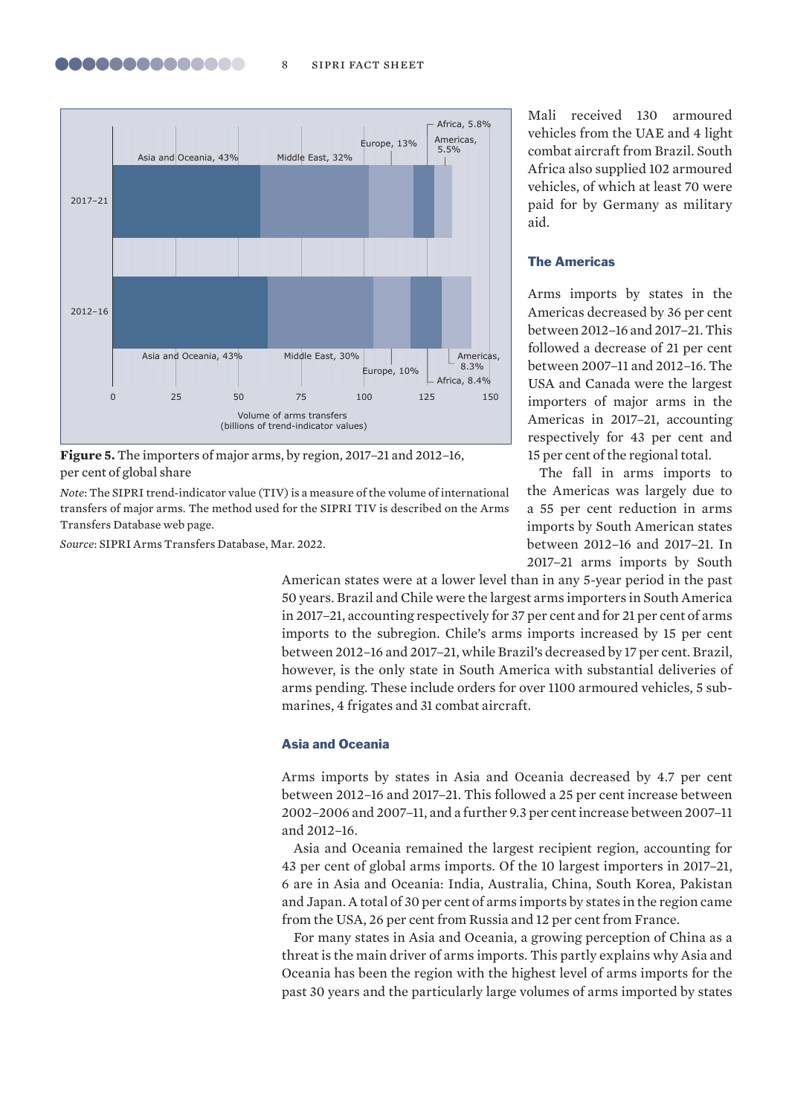

**Figure 5.** The importers of major arms, by region, 2017–21 and 2012–16, per cent of global share

*Note*: The SIPRI trend-indicator value (TIV) is a measure of the volume of international transfers of major arms. The method used for the SIPRI TIV is described on the [Arms](https://www.sipri.org/databases/armstransfers/sources-and-methods) [Transfers Database web page.](https://www.sipri.org/databases/armstransfers/sources-and-methods)

*Source*: [SIPRI Arms Transfers Database, Mar. 20](https://www.sipri.org/databases/armstransfers)22.

Mali received 130 armoured vehicles from the UAE and 4 light combat aircraft from Brazil. South Africa also supplied 102 armoured vehicles, of which at least 70 were paid for by Germany as military aid.

# The Americas

Arms imports by states in the Americas decreased by 36 per cent between 2012–16 and 2017–21. This followed a decrease of 21 per cent between 2007–11 and 2012–16. The USA and Canada were the largest importers of major arms in the Americas in 2017–21, accounting respectively for 43 per cent and 15 per cent of the regional total.

The fall in arms imports to the Americas was largely due to a 55 per cent reduction in arms imports by South American states between 2012–16 and 2017–21. In 2017–21 arms imports by South

American states were at a lower level than in any 5-year period in the past 50 years. Brazil and Chile were the largest arms importers in South America in 2017–21, accounting respectively for 37 per cent and for 21 per cent of arms imports to the subregion. Chile's arms imports increased by 15 per cent between 2012–16 and 2017–21, while Brazil's decreased by 17 per cent. Brazil, however, is the only state in South America with substantial deliveries of arms pending. These include orders for over 1100 armoured vehicles, 5 submarines, 4 frigates and 31 combat aircraft.

# Asia and Oceania

Arms imports by states in Asia and Oceania decreased by 4.7 per cent between 2012–16 and 2017–21. This followed a 25 per cent increase between 2002–2006 and 2007–11, and a further 9.3 per cent increase between 2007–11 and 2012–16.

Asia and Oceania remained the largest recipient region, accounting for 43 per cent of global arms imports. Of the 10 largest importers in 2017–21, 6 are in Asia and Oceania: India, Australia, China, South Korea, Pakistan and Japan. A total of 30 per cent of arms imports by states in the region came from the USA, 26 per cent from Russia and 12 per cent from France.

For many states in Asia and Oceania, a growing perception of China as a threat is the main driver of arms imports. This partly explains why Asia and Oceania has been the region with the highest level of arms imports for the past 30 years and the particularly large volumes of arms imported by states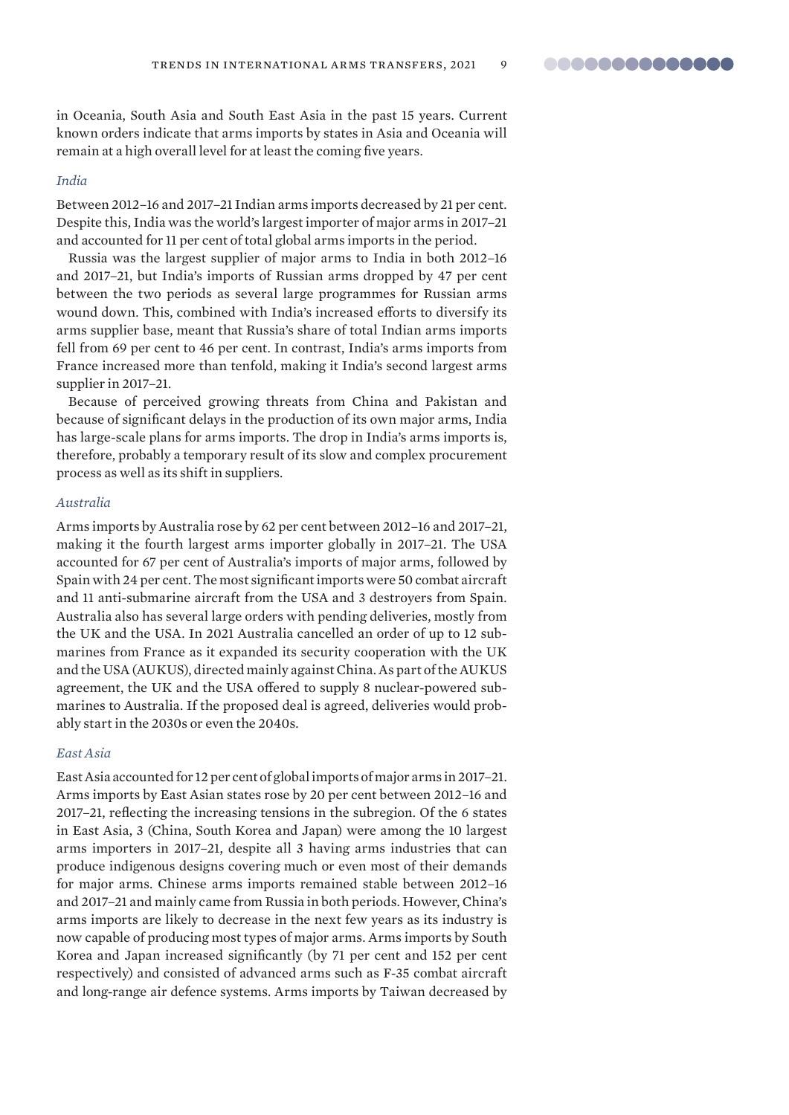..............

in Oceania, South Asia and South East Asia in the past 15 years. Current known orders indicate that arms imports by states in Asia and Oceania will remain at a high overall level for at least the coming five years.

#### *India*

Between 2012–16 and 2017–21 Indian arms imports decreased by 21 per cent. Despite this, India was the world's largest importer of major arms in 2017–21 and accounted for 11 per cent of total global arms imports in the period.

Russia was the largest supplier of major arms to India in both 2012–16 and 2017–21, but India's imports of Russian arms dropped by 47 per cent between the two periods as several large programmes for Russian arms wound down. This, combined with India's increased efforts to diversify its arms supplier base, meant that Russia's share of total Indian arms imports fell from 69 per cent to 46 per cent. In contrast, India's arms imports from France increased more than tenfold, making it India's second largest arms supplier in 2017–21.

Because of perceived growing threats from China and Pakistan and because of significant delays in the production of its own major arms, India has large-scale plans for arms imports. The drop in India's arms imports is, therefore, probably a temporary result of its slow and complex procurement process as well as its shift in suppliers.

# *Australia*

Arms imports by Australia rose by 62 per cent between 2012–16 and 2017–21, making it the fourth largest arms importer globally in 2017–21. The USA accounted for 67 per cent of Australia's imports of major arms, followed by Spain with 24 per cent. The most significant imports were 50 combat aircraft and 11 anti-submarine aircraft from the USA and 3 destroyers from Spain. Australia also has several large orders with pending deliveries, mostly from the UK and the USA. In 2021 Australia cancelled an order of up to 12 submarines from France as it expanded its security cooperation with the UK and the USA (AUKUS), directed mainly against China. As part of the AUKUS agreement, the UK and the USA offered to supply 8 nuclear-powered submarines to Australia. If the proposed deal is agreed, deliveries would probably start in the 2030s or even the 2040s.

#### *East Asia*

East Asia accounted for 12 per cent of global imports of major arms in 2017–21. Arms imports by East Asian states rose by 20 per cent between 2012–16 and 2017–21, reflecting the increasing tensions in the subregion. Of the 6 states in East Asia, 3 (China, South Korea and Japan) were among the 10 largest arms importers in 2017–21, despite all 3 having arms industries that can produce indigenous designs covering much or even most of their demands for major arms. Chinese arms imports remained stable between 2012–16 and 2017–21 and mainly came from Russia in both periods. However, China's arms imports are likely to decrease in the next few years as its industry is now capable of producing most types of major arms. Arms imports by South Korea and Japan increased significantly (by 71 per cent and 152 per cent respectively) and consisted of advanced arms such as F-35 combat aircraft and long-range air defence systems. Arms imports by Taiwan decreased by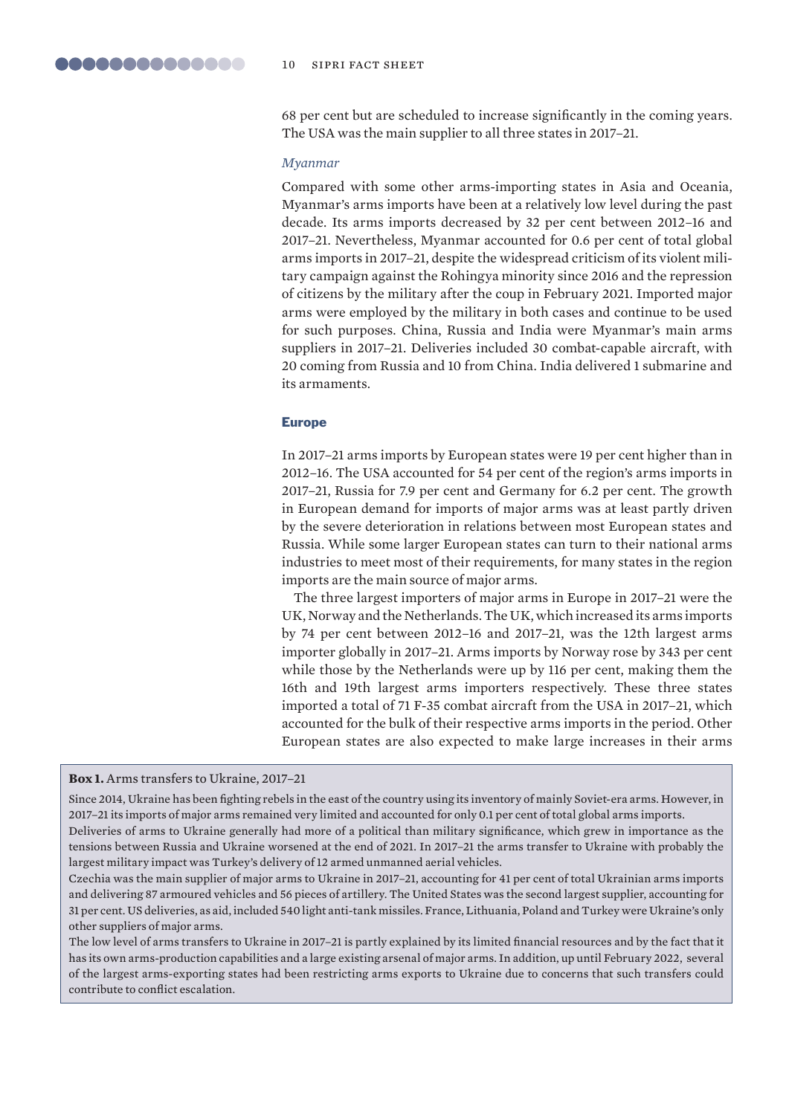68 per cent but are scheduled to increase significantly in the coming years. The USA was the main supplier to all three states in 2017–21.

#### *Myanmar*

Compared with some other arms-importing states in Asia and Oceania, Myanmar's arms imports have been at a relatively low level during the past decade. Its arms imports decreased by 32 per cent between 2012–16 and 2017–21. Nevertheless, Myanmar accounted for 0.6 per cent of total global arms imports in 2017–21, despite the widespread criticism of its violent military campaign against the Rohingya minority since 2016 and the repression of citizens by the military after the coup in February 2021. Imported major arms were employed by the military in both cases and continue to be used for such purposes. China, Russia and India were Myanmar's main arms suppliers in 2017–21. Deliveries included 30 combat-capable aircraft, with 20 coming from Russia and 10 from China. India delivered 1 submarine and its armaments.

#### Europe

In 2017–21 arms imports by European states were 19 per cent higher than in 2012–16. The USA accounted for 54 per cent of the region's arms imports in 2017–21, Russia for 7.9 per cent and Germany for 6.2 per cent. The growth in European demand for imports of major arms was at least partly driven by the severe deterioration in relations between most European states and Russia. While some larger European states can turn to their national arms industries to meet most of their requirements, for many states in the region imports are the main source of major arms.

The three largest importers of major arms in Europe in 2017–21 were the UK, Norway and the Netherlands. The UK, which increased its arms imports by 74 per cent between 2012–16 and 2017–21, was the 12th largest arms importer globally in 2017–21. Arms imports by Norway rose by 343 per cent while those by the Netherlands were up by 116 per cent, making them the 16th and 19th largest arms importers respectively. These three states imported a total of 71 F-35 combat aircraft from the USA in 2017–21, which accounted for the bulk of their respective arms imports in the period. Other European states are also expected to make large increases in their arms

#### **Box 1.** Arms transfers to Ukraine, 2017–21

Since 2014, Ukraine has been fighting rebels in the east of the country using its inventory of mainly Soviet-era arms. However, in 2017–21 its imports of major arms remained very limited and accounted for only 0.1 per cent of total global arms imports.

Deliveries of arms to Ukraine generally had more of a political than military significance, which grew in importance as the tensions between Russia and Ukraine worsened at the end of 2021. In 2017–21 the arms transfer to Ukraine with probably the largest military impact was Turkey's delivery of 12 armed unmanned aerial vehicles.

Czechia was the main supplier of major arms to Ukraine in 2017–21, accounting for 41 per cent of total Ukrainian arms imports and delivering 87 armoured vehicles and 56 pieces of artillery. The United States was the second largest supplier, accounting for 31 per cent. US deliveries, as aid, included 540 light anti-tank missiles. France, Lithuania, Poland and Turkey were Ukraine's only other suppliers of major arms.

The low level of arms transfers to Ukraine in 2017–21 is partly explained by its limited financial resources and by the fact that it has its own arms-production capabilities and a large existing arsenal of major arms. In addition, up until February 2022, several of the largest arms-exporting states had been restricting arms exports to Ukraine due to concerns that such transfers could contribute to conflict escalation.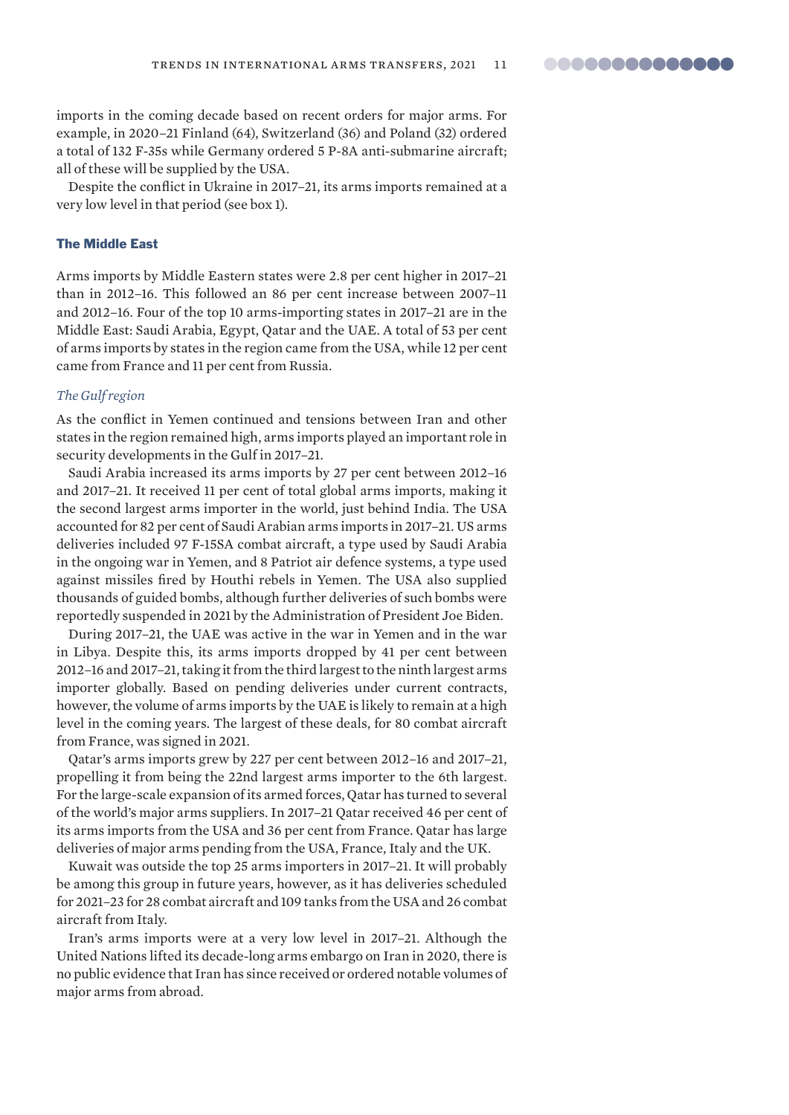**00000000000000** 

imports in the coming decade based on recent orders for major arms. For example, in 2020–21 Finland (64), Switzerland (36) and Poland (32) ordered a total of 132 F-35s while Germany ordered 5 P-8A anti-submarine aircraft; all of these will be supplied by the USA.

Despite the conflict in Ukraine in 2017–21, its arms imports remained at a very low level in that period (see box 1).

### The Middle East

Arms imports by Middle Eastern states were 2.8 per cent higher in 2017–21 than in 2012–16. This followed an 86 per cent increase between 2007–11 and 2012–16. Four of the top 10 arms-importing states in 2017–21 are in the Middle East: Saudi Arabia, Egypt, Qatar and the UAE. A total of 53 per cent of arms imports by states in the region came from the USA, while 12 per cent came from France and 11 per cent from Russia.

# *The Gulf region*

As the conflict in Yemen continued and tensions between Iran and other states in the region remained high, arms imports played an important role in security developments in the Gulf in 2017–21.

Saudi Arabia increased its arms imports by 27 per cent between 2012–16 and 2017–21. It received 11 per cent of total global arms imports, making it the second largest arms importer in the world, just behind India. The USA accounted for 82 per cent of Saudi Arabian arms imports in 2017–21. US arms deliveries included 97 F-15SA combat aircraft, a type used by Saudi Arabia in the ongoing war in Yemen, and 8 Patriot air defence systems, a type used against missiles fired by Houthi rebels in Yemen. The USA also supplied thousands of guided bombs, although further deliveries of such bombs were reportedly suspended in 2021 by the Administration of President Joe Biden.

During 2017–21, the UAE was active in the war in Yemen and in the war in Libya. Despite this, its arms imports dropped by 41 per cent between 2012–16 and 2017–21, taking it from the third largest to the ninth largest arms importer globally. Based on pending deliveries under current contracts, however, the volume of arms imports by the UAE is likely to remain at a high level in the coming years. The largest of these deals, for 80 combat aircraft from France, was signed in 2021.

Qatar's arms imports grew by 227 per cent between 2012–16 and 2017–21, propelling it from being the 22nd largest arms importer to the 6th largest. For the large-scale expansion of its armed forces, Qatar has turned to several of the world's major arms suppliers. In 2017–21 Qatar received 46 per cent of its arms imports from the USA and 36 per cent from France. Qatar has large deliveries of major arms pending from the USA, France, Italy and the UK.

Kuwait was outside the top 25 arms importers in 2017–21. It will probably be among this group in future years, however, as it has deliveries scheduled for 2021–23 for 28 combat aircraft and 109 tanks from the USA and 26 combat aircraft from Italy.

Iran's arms imports were at a very low level in 2017–21. Although the United Nations lifted its decade-long arms embargo on Iran in 2020, there is no public evidence that Iran has since received or ordered notable volumes of major arms from abroad.